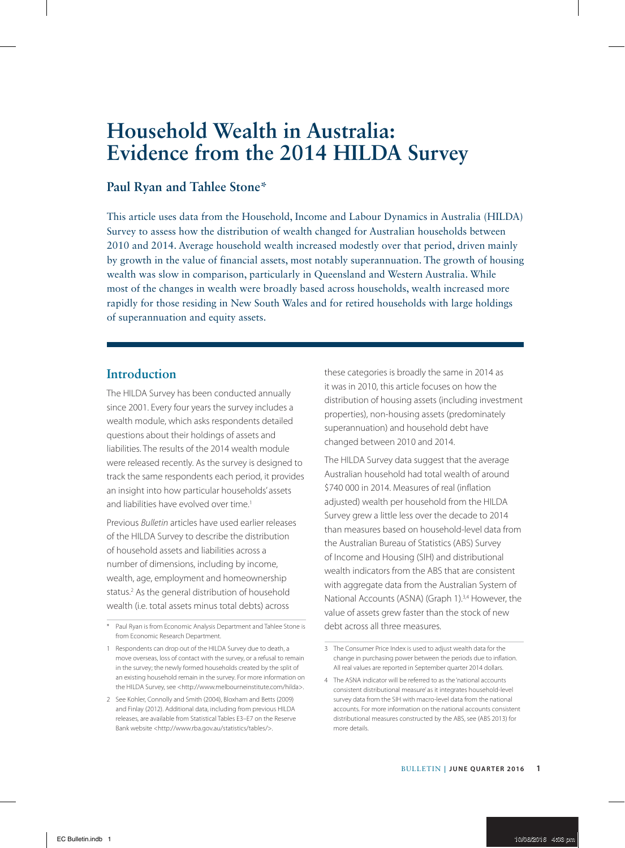# **Household Wealth in Australia: Evidence from the 2014 HILDA Survey**

### **Paul Ryan and Tahlee Stone\***

This article uses data from the Household, Income and Labour Dynamics in Australia (HILDA) Survey to assess how the distribution of wealth changed for Australian households between 2010 and 2014. Average household wealth increased modestly over that period, driven mainly by growth in the value of financial assets, most notably superannuation. The growth of housing wealth was slow in comparison, particularly in Queensland and Western Australia. While most of the changes in wealth were broadly based across households, wealth increased more rapidly for those residing in New South Wales and for retired households with large holdings of superannuation and equity assets.

### **Introduction**

The HILDA Survey has been conducted annually since 2001. Every four years the survey includes a wealth module, which asks respondents detailed questions about their holdings of assets and liabilities. The results of the 2014 wealth module were released recently. As the survey is designed to track the same respondents each period, it provides an insight into how particular households' assets and liabilities have evolved over time.<sup>1</sup>

Previous *Bulletin* articles have used earlier releases of the HILDA Survey to describe the distribution of household assets and liabilities across a number of dimensions, including by income, wealth, age, employment and homeownership status.<sup>2</sup> As the general distribution of household wealth (i.e. total assets minus total debts) across

these categories is broadly the same in 2014 as it was in 2010, this article focuses on how the distribution of housing assets (including investment properties), non-housing assets (predominately superannuation) and household debt have changed between 2010 and 2014.

The HILDA Survey data suggest that the average Australian household had total wealth of around \$740 000 in 2014. Measures of real (inflation adjusted) wealth per household from the HILDA Survey grew a little less over the decade to 2014 than measures based on household-level data from the Australian Bureau of Statistics (ABS) Survey of Income and Housing (SIH) and distributional wealth indicators from the ABS that are consistent with aggregate data from the Australian System of National Accounts (ASNA) (Graph 1).<sup>3,4</sup> However, the value of assets grew faster than the stock of new debt across all three measures.

<sup>\*</sup> Paul Ryan is from Economic Analysis Department and Tahlee Stone is from Economic Research Department.

<sup>1</sup> Respondents can drop out of the HILDA Survey due to death, a move overseas, loss of contact with the survey, or a refusal to remain in the survey; the newly formed households created by the split of an existing household remain in the survey. For more information on the HILDA Survey, see <http://www.melbourneinstitute.com/hilda>.

<sup>2</sup> See Kohler, Connolly and Smith (2004), Bloxham and Betts (2009) and Finlay (2012). Additional data, including from previous HILDA releases, are available from Statistical Tables E3–E7 on the Reserve Bank website <http://www.rba.gov.au/statistics/tables/>.

<sup>3</sup> The Consumer Price Index is used to adjust wealth data for the change in purchasing power between the periods due to inflation. All real values are reported in September quarter 2014 dollars.

<sup>4</sup> The ASNA indicator will be referred to as the 'national accounts consistent distributional measure' as it integrates household-level survey data from the SIH with macro-level data from the national accounts. For more information on the national accounts consistent distributional measures constructed by the ABS, see (ABS 2013) for more details.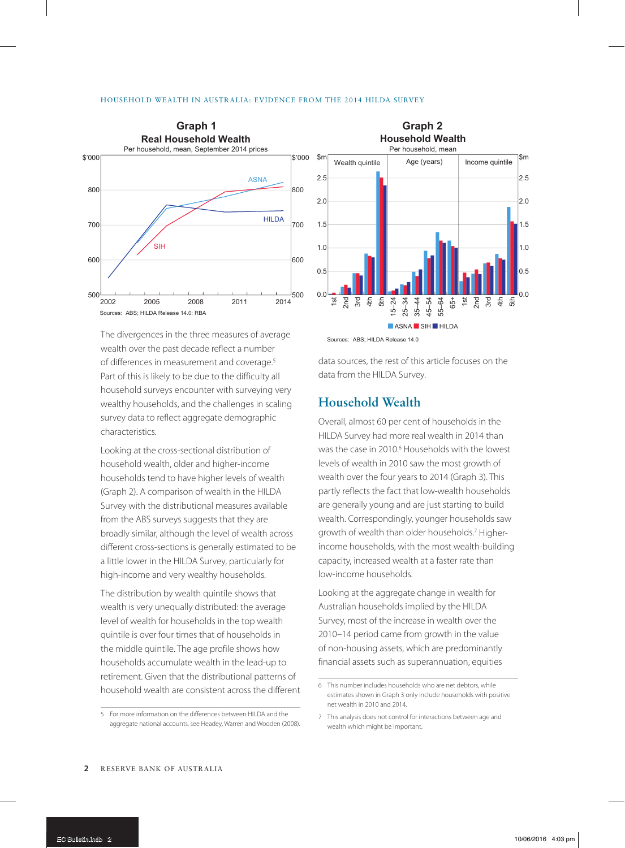



The divergences in the three measures of average sources: ABS; HILDA Release 14.0 wealth over the past decade reflect a number of differences in measurement and coverage.<sup>5</sup> Part of this is likely to be due to the difficulty all household surveys encounter with surveying very wealthy households, and the challenges in scaling survey data to reflect aggregate demographic characteristics.

Looking at the cross-sectional distribution of household wealth, older and higher-income households tend to have higher levels of wealth (Graph 2). A comparison of wealth in the HILDA Survey with the distributional measures available from the ABS surveys suggests that they are broadly similar, although the level of wealth across different cross-sections is generally estimated to be a little lower in the HILDA Survey, particularly for high-income and very wealthy households.

The distribution by wealth quintile shows that wealth is very unequally distributed: the average level of wealth for households in the top wealth quintile is over four times that of households in the middle quintile. The age profile shows how households accumulate wealth in the lead-up to retirement. Given that the distributional patterns of household wealth are consistent across the different

data sources, the rest of this article focuses on the data from the HILDA Survey.

#### **Household Wealth**

Overall, almost 60 per cent of households in the HILDA Survey had more real wealth in 2014 than was the case in 2010.<sup>6</sup> Households with the lowest levels of wealth in 2010 saw the most growth of wealth over the four years to 2014 (Graph 3). This partly reflects the fact that low-wealth households are generally young and are just starting to build wealth. Correspondingly, younger households saw growth of wealth than older households.<sup>7</sup> Higherincome households, with the most wealth-building capacity, increased wealth at a faster rate than low-income households.

Looking at the aggregate change in wealth for Australian households implied by the HILDA Survey, most of the increase in wealth over the 2010–14 period came from growth in the value of non-housing assets, which are predominantly financial assets such as superannuation, equities

<sup>5</sup> For more information on the differences between HILDA and the aggregate national accounts, see Headey, Warren and Wooden (2008).

<sup>6</sup> This number includes households who are net debtors, while estimates shown in Graph 3 only include households with positive net wealth in 2010 and 2014.

<sup>7</sup> This analysis does not control for interactions between age and wealth which might be important.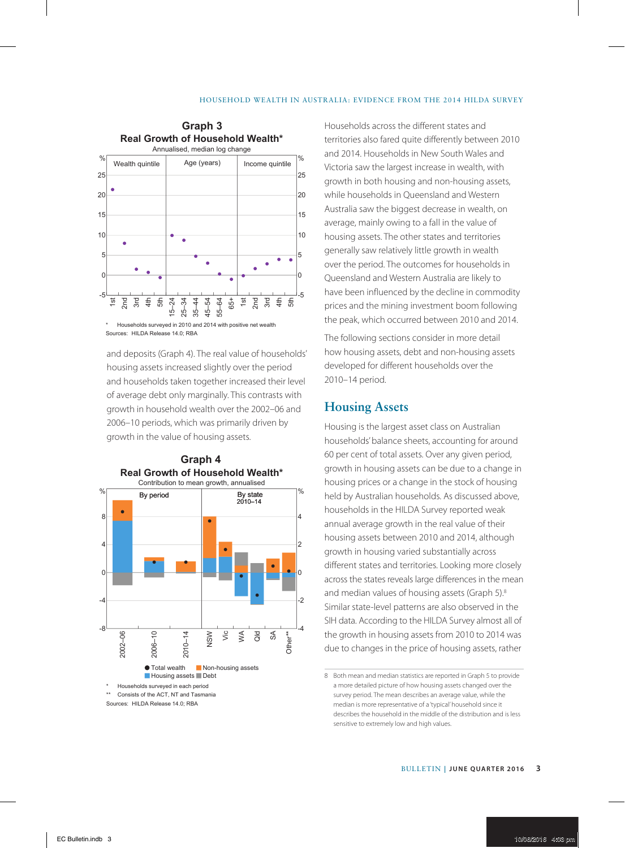#### HOUSEHOLD WEALTH IN AUSTRALIA: EVIDENCE FROM THE 2014 HILDA SURVEY



and deposits (Graph 4). The real value of households' housing assets increased slightly over the period and households taken together increased their level of average debt only marginally. This contrasts with growth in household wealth over the 2002–06 and 2006–10 periods, which was primarily driven by growth in the value of housing assets.

**Graph 4**



Sources: HILDA Release 14.0; RBA

Households across the different states and territories also fared quite differently between 2010 and 2014. Households in New South Wales and Victoria saw the largest increase in wealth, with growth in both housing and non-housing assets, while households in Queensland and Western Australia saw the biggest decrease in wealth, on average, mainly owing to a fall in the value of housing assets. The other states and territories generally saw relatively little growth in wealth over the period. The outcomes for households in Queensland and Western Australia are likely to have been influenced by the decline in commodity prices and the mining investment boom following the peak, which occurred between 2010 and 2014.

The following sections consider in more detail how housing assets, debt and non-housing assets developed for different households over the 2010–14 period.

#### **Housing Assets**

Housing is the largest asset class on Australian households' balance sheets, accounting for around 60 per cent of total assets. Over any given period, growth in housing assets can be due to a change in housing prices or a change in the stock of housing held by Australian households. As discussed above, households in the HILDA Survey reported weak annual average growth in the real value of their housing assets between 2010 and 2014, although growth in housing varied substantially across different states and territories. Looking more closely across the states reveals large differences in the mean and median values of housing assets (Graph 5).<sup>8</sup> Similar state-level patterns are also observed in the SIH data. According to the HILDA Survey almost all of the growth in housing assets from 2010 to 2014 was due to changes in the price of housing assets, rather

<sup>8</sup> Both mean and median statistics are reported in Graph 5 to provide a more detailed picture of how housing assets changed over the survey period. The mean describes an average value, while the median is more representative of a 'typical' household since it describes the household in the middle of the distribution and is less sensitive to extremely low and high values.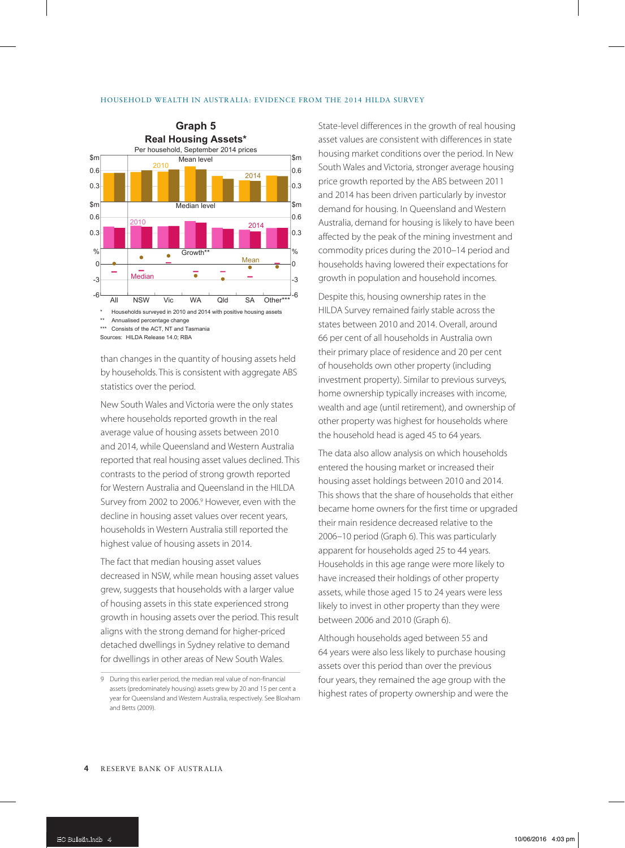

\*\* Annualised percentage change

\*\*\* Consists of the ACT, NT and Tasmania

Sources: HILDA Release 14.0; RBA

than changes in the quantity of housing assets held by households. This is consistent with aggregate ABS statistics over the period.

New South Wales and Victoria were the only states where households reported growth in the real average value of housing assets between 2010 and 2014, while Queensland and Western Australia reported that real housing asset values declined. This contrasts to the period of strong growth reported for Western Australia and Queensland in the HILDA Survey from 2002 to 2006.9 However, even with the decline in housing asset values over recent years, households in Western Australia still reported the highest value of housing assets in 2014.

The fact that median housing asset values decreased in NSW, while mean housing asset values grew, suggests that households with a larger value of housing assets in this state experienced strong growth in housing assets over the period. This result aligns with the strong demand for higher-priced detached dwellings in Sydney relative to demand for dwellings in other areas of New South Wales.

State-level differences in the growth of real housing asset values are consistent with differences in state housing market conditions over the period. In New South Wales and Victoria, stronger average housing price growth reported by the ABS between 2011 and 2014 has been driven particularly by investor demand for housing. In Queensland and Western Australia, demand for housing is likely to have been affected by the peak of the mining investment and commodity prices during the 2010–14 period and households having lowered their expectations for growth in population and household incomes.

Despite this, housing ownership rates in the HILDA Survey remained fairly stable across the states between 2010 and 2014. Overall, around 66 per cent of all households in Australia own their primary place of residence and 20 per cent of households own other property (including investment property). Similar to previous surveys, home ownership typically increases with income, wealth and age (until retirement), and ownership of other property was highest for households where the household head is aged 45 to 64 years.

The data also allow analysis on which households entered the housing market or increased their housing asset holdings between 2010 and 2014. This shows that the share of households that either became home owners for the first time or upgraded their main residence decreased relative to the 2006–10 period (Graph 6). This was particularly apparent for households aged 25 to 44 years. Households in this age range were more likely to have increased their holdings of other property assets, while those aged 15 to 24 years were less likely to invest in other property than they were between 2006 and 2010 (Graph 6).

Although households aged between 55 and 64 years were also less likely to purchase housing assets over this period than over the previous four years, they remained the age group with the highest rates of property ownership and were the

<sup>9</sup> During this earlier period, the median real value of non-financial assets (predominately housing) assets grew by 20 and 15 per cent a year for Queensland and Western Australia, respectively. See Bloxham and Betts (2009).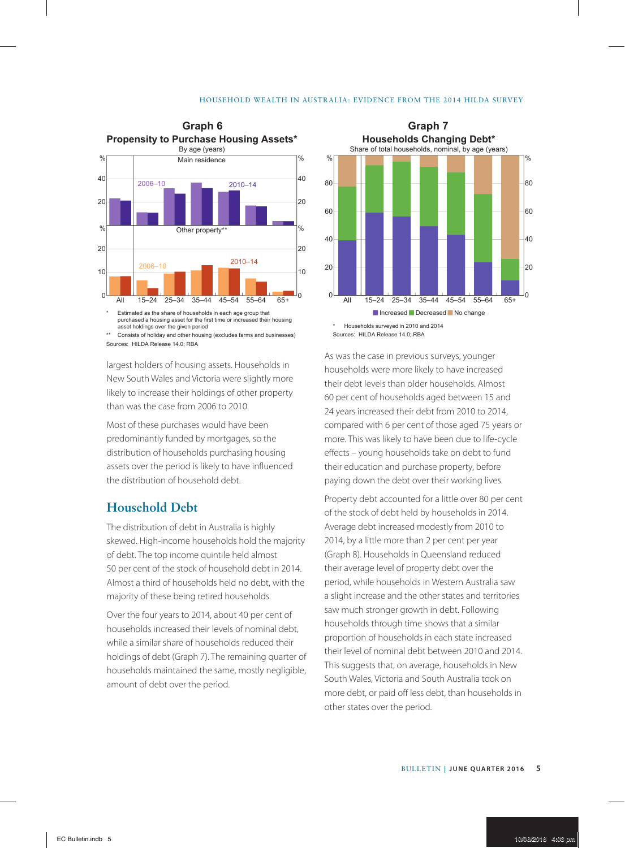#### HOUSEHOLD WEALTH IN AUSTRALIA: EVIDENCE FROM THE 2014 HILDA SURVEY



Consists of holiday and other housing (excludes farms and businesses) Sources: HILDA Release 14.0; RBA

largest holders of housing assets. Households in New South Wales and Victoria were slightly more likely to increase their holdings of other property than was the case from 2006 to 2010.

Most of these purchases would have been predominantly funded by mortgages, so the distribution of households purchasing housing assets over the period is likely to have influenced the distribution of household debt.

### **Household Debt**

The distribution of debt in Australia is highly skewed. High-income households hold the majority of debt. The top income quintile held almost 50 per cent of the stock of household debt in 2014. Almost a third of households held no debt, with the majority of these being retired households.

Over the four years to 2014, about 40 per cent of households increased their levels of nominal debt, while a similar share of households reduced their holdings of debt (Graph 7). The remaining quarter of households maintained the same, mostly negligible, amount of debt over the period.



As was the case in previous surveys, younger households were more likely to have increased their debt levels than older households. Almost 60 per cent of households aged between 15 and 24 years increased their debt from 2010 to 2014, compared with 6 per cent of those aged 75 years or more. This was likely to have been due to life-cycle effects – young households take on debt to fund their education and purchase property, before paying down the debt over their working lives.

Property debt accounted for a little over 80 per cent of the stock of debt held by households in 2014. Average debt increased modestly from 2010 to 2014, by a little more than 2 per cent per year (Graph 8). Households in Queensland reduced their average level of property debt over the period, while households in Western Australia saw a slight increase and the other states and territories saw much stronger growth in debt. Following households through time shows that a similar proportion of households in each state increased their level of nominal debt between 2010 and 2014. This suggests that, on average, households in New South Wales, Victoria and South Australia took on more debt, or paid off less debt, than households in other states over the period.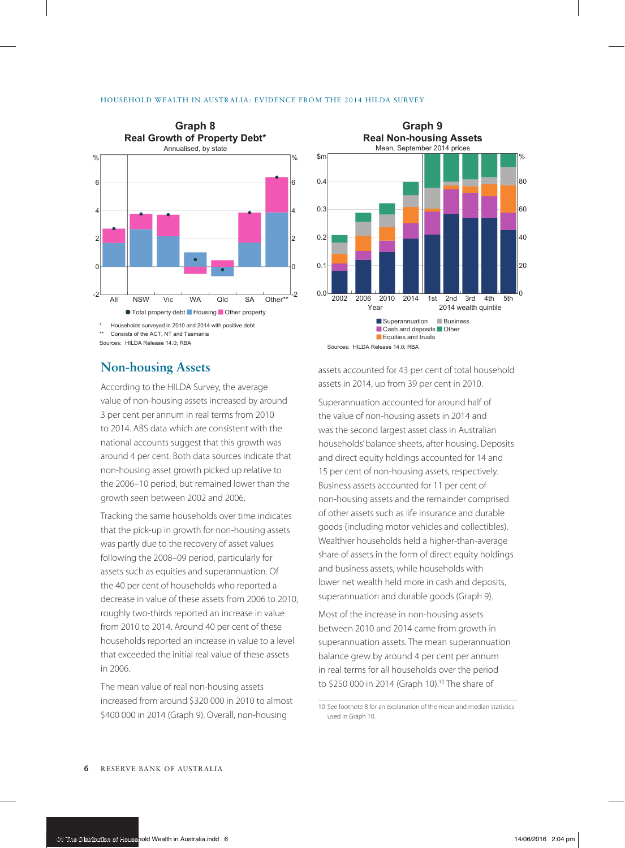

Sources: HILDA Release 14.0; RBA

## **Non-housing Assets**

According to the HILDA Survey, the average value of non-housing assets increased by around 3 per cent per annum in real terms from 2010 to 2014. ABS data which are consistent with the national accounts suggest that this growth was around 4 per cent. Both data sources indicate that non-housing asset growth picked up relative to the 2006–10 period, but remained lower than the growth seen between 2002 and 2006.

Tracking the same households over time indicates that the pick-up in growth for non-housing assets was partly due to the recovery of asset values following the 2008–09 period, particularly for assets such as equities and superannuation. Of the 40 per cent of households who reported a decrease in value of these assets from 2006 to 2010, roughly two-thirds reported an increase in value from 2010 to 2014. Around 40 per cent of these households reported an increase in value to a level that exceeded the initial real value of these assets in 2006.

The mean value of real non-housing assets increased from around \$320 000 in 2010 to almost \$400 000 in 2014 (Graph 9). Overall, non-housing



assets accounted for 43 per cent of total household assets in 2014, up from 39 per cent in 2010.

Superannuation accounted for around half of the value of non-housing assets in 2014 and was the second largest asset class in Australian households' balance sheets, after housing. Deposits and direct equity holdings accounted for 14 and 15 per cent of non-housing assets, respectively. Business assets accounted for 11 per cent of non-housing assets and the remainder comprised of other assets such as life insurance and durable goods (including motor vehicles and collectibles). Wealthier households held a higher-than-average share of assets in the form of direct equity holdings and business assets, while households with lower net wealth held more in cash and deposits, superannuation and durable goods (Graph 9).

Most of the increase in non-housing assets between 2010 and 2014 came from growth in superannuation assets. The mean superannuation balance grew by around 4 per cent per annum in real terms for all households over the period to \$250 000 in 2014 (Graph 10).10 The share of

10 See footnote 8 for an explanation of the mean and median statistics used in Graph 10.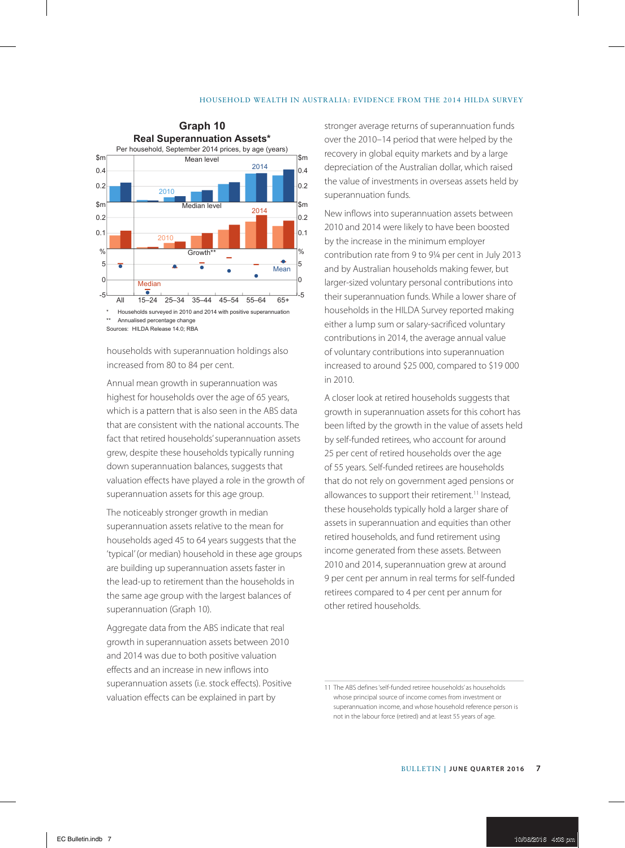#### HOUSEHOLD WEALTH IN AUSTRALIA: EVIDENCE FROM THE 2014 HILDA SURVEY



Sources: HILDA Release 14.0; RBA

households with superannuation holdings also increased from 80 to 84 per cent.

Annual mean growth in superannuation was highest for households over the age of 65 years, which is a pattern that is also seen in the ABS data that are consistent with the national accounts. The fact that retired households' superannuation assets grew, despite these households typically running down superannuation balances, suggests that valuation effects have played a role in the growth of superannuation assets for this age group.

The noticeably stronger growth in median superannuation assets relative to the mean for households aged 45 to 64 years suggests that the 'typical' (or median) household in these age groups are building up superannuation assets faster in the lead-up to retirement than the households in the same age group with the largest balances of superannuation (Graph 10).

Aggregate data from the ABS indicate that real growth in superannuation assets between 2010 and 2014 was due to both positive valuation effects and an increase in new inflows into superannuation assets (i.e. stock effects). Positive valuation effects can be explained in part by

stronger average returns of superannuation funds over the 2010–14 period that were helped by the recovery in global equity markets and by a large depreciation of the Australian dollar, which raised the value of investments in overseas assets held by superannuation funds.

New inflows into superannuation assets between 2010 and 2014 were likely to have been boosted by the increase in the minimum employer contribution rate from 9 to 9¼ per cent in July 2013 and by Australian households making fewer, but larger-sized voluntary personal contributions into their superannuation funds. While a lower share of households in the HILDA Survey reported making either a lump sum or salary-sacrificed voluntary contributions in 2014, the average annual value of voluntary contributions into superannuation increased to around \$25 000, compared to \$19 000 in 2010.

A closer look at retired households suggests that growth in superannuation assets for this cohort has been lifted by the growth in the value of assets held by self-funded retirees, who account for around 25 per cent of retired households over the age of 55 years. Self-funded retirees are households that do not rely on government aged pensions or allowances to support their retirement.<sup>11</sup> Instead, these households typically hold a larger share of assets in superannuation and equities than other retired households, and fund retirement using income generated from these assets. Between 2010 and 2014, superannuation grew at around 9 per cent per annum in real terms for self-funded retirees compared to 4 per cent per annum for other retired households.

<sup>11</sup> The ABS defines 'self-funded retiree households' as households whose principal source of income comes from investment or superannuation income, and whose household reference person is not in the labour force (retired) and at least 55 years of age.